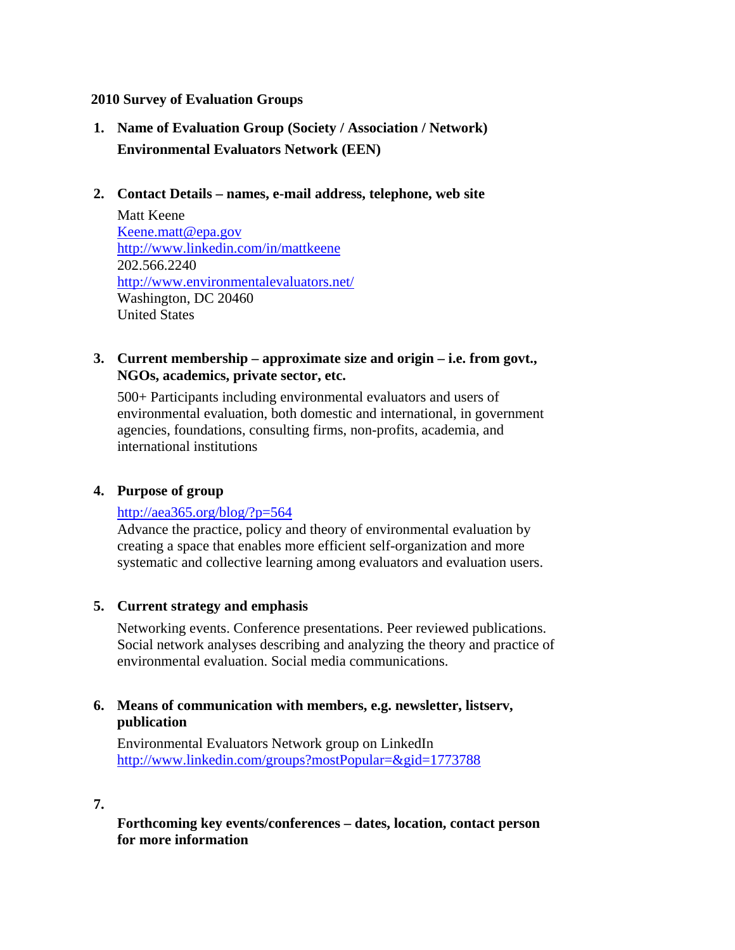### **2010 Survey of Evaluation Groups**

- **1. Name of Evaluation Group (Society / Association / Network) Environmental Evaluators Network (EEN)**
- **2. Contact Details names, e-mail address, telephone, web site**

Matt Keene Keene.matt@epa.gov http://www.linkedin.com/in/mattkeene 202.566.2240 http://www.environmentalevaluators.net/ Washington, DC 20460 United States

### **3. Current membership – approximate size and origin – i.e. from govt., NGOs, academics, private sector, etc.**

500+ Participants including environmental evaluators and users of environmental evaluation, both domestic and international, in government agencies, foundations, consulting firms, non-profits, academia, and international institutions

# **4. Purpose of group**

# http://aea365.org/blog/?p=564

Advance the practice, policy and theory of environmental evaluation by creating a space that enables more efficient self-organization and more systematic and collective learning among evaluators and evaluation users.

# **5. Current strategy and emphasis**

 Networking events. Conference presentations. Peer reviewed publications. Social network analyses describing and analyzing the theory and practice of environmental evaluation. Social media communications.

# **6. Means of communication with members, e.g. newsletter, listserv, publication**

Environmental Evaluators Network group on LinkedIn http://www.linkedin.com/groups?mostPopular=&gid=1773788

**7.**

**Forthcoming key events/conferences – dates, location, contact person for more information**